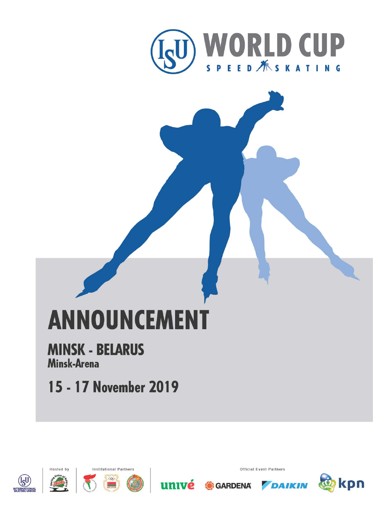

# **ANNOUNCEMENT**

# **MINSK - BELARUS** Minsk-Arena

15 - 17 November 2019



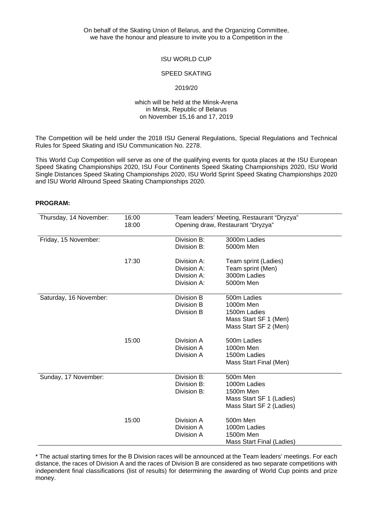On behalf of the Skating Union of Belarus, and the Organizing Committee, we have the honour and pleasure to invite you to a Competition in the

# ISU WORLD CUP

#### SPEED SKATING

#### 2019/20

#### which will be held at the Minsk-Arena in Minsk, Republic of Belarus on November 15,16 and 17, 2019

The Competition will be held under the 2018 ISU General Regulations, Special Regulations and Technical Rules for Speed Skating and ISU Communication No. 2278.

This World Cup Competition will serve as one of the qualifying events for quota places at the ISU European Speed Skating Championships 2020, ISU Four Continents Speed Skating Championships 2020, ISU World Single Distances Speed Skating Championships 2020, ISU World Sprint Speed Skating Championships 2020 and ISU World Allround Speed Skating Championships 2020.

#### **PROGRAM:**

| Thursday, 14 November: | 16:00 | Team leaders' Meeting, Restaurant "Dryzya" |                                  |  |
|------------------------|-------|--------------------------------------------|----------------------------------|--|
|                        | 18:00 | Opening draw, Restaurant "Dryzya"          |                                  |  |
| Friday, 15 November:   |       | Division B:                                | 3000m Ladies                     |  |
|                        |       | Division B:                                | 5000m Men                        |  |
|                        |       |                                            |                                  |  |
|                        | 17:30 | Division A:                                | Team sprint (Ladies)             |  |
|                        |       | Division A:                                | Team sprint (Men)                |  |
|                        |       | Division A:                                | 3000m Ladies                     |  |
|                        |       | Division A:                                | 5000m Men                        |  |
| Saturday, 16 November: |       | Division B                                 | 500m Ladies                      |  |
|                        |       | Division B                                 | 1000m Men                        |  |
|                        |       | Division B                                 | 1500m Ladies                     |  |
|                        |       |                                            | Mass Start SF 1 (Men)            |  |
|                        |       |                                            | Mass Start SF 2 (Men)            |  |
|                        | 15:00 | Division A                                 | 500m Ladies                      |  |
|                        |       | Division A                                 | 1000m Men                        |  |
|                        |       | Division A                                 | 1500m Ladies                     |  |
|                        |       |                                            | Mass Start Final (Men)           |  |
| Sunday, 17 November:   |       | Division B:                                | 500m Men                         |  |
|                        |       | Division B:                                | 1000m Ladies                     |  |
|                        |       | Division B:                                | 1500m Men                        |  |
|                        |       |                                            | Mass Start SF 1 (Ladies)         |  |
|                        |       |                                            | Mass Start SF 2 (Ladies)         |  |
|                        | 15:00 | Division A                                 | 500m Men                         |  |
|                        |       | Division A                                 | 1000m Ladies                     |  |
|                        |       | Division A                                 | 1500m Men                        |  |
|                        |       |                                            | <b>Mass Start Final (Ladies)</b> |  |

\* The actual starting times for the B Division races will be announced at the Team leaders' meetings. For each distance, the races of Division A and the races of Division B are considered as two separate competitions with independent final classifications (list of results) for determining the awarding of World Cup points and prize money.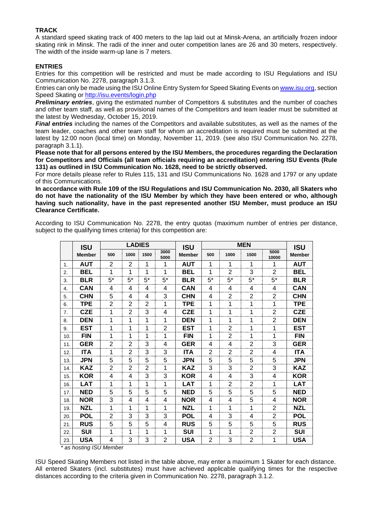## **TRACK**

A standard speed skating track of 400 meters to the lap laid out at Minsk-Arena, an artificially frozen indoor skating rink in Minsk. The radii of the inner and outer competition lanes are 26 and 30 meters, respectively. The width of the inside warm-up lane is 7 meters.

#### **ENTRIES**

Entries for this competition will be restricted and must be made according to ISU Regulations and ISU Communication No. 2278, paragraph 3.1.3.

Entries can only be made using the ISU Online Entry System for Speed Skating Events o[n www.isu.org,](http://www.isu.org/) section Speed Skating or [http://isu.events/login.php](http://http/isu.events/login.php)

**Preliminary entries**, giving the estimated number of Competitors & substitutes and the number of coaches and other team staff, as well as provisional names of the Competitors and team leader must be submitted at the latest by Wednesday, October 15, 2019.

*Final entries* including the names of the Competitors and available substitutes, as well as the names of the team leader, coaches and other team staff for whom an accreditation is required must be submitted at the latest by 12:00 noon (local time) on Monday, November 11, 2019. (see also ISU Communication No. 2278, paragraph 3.1.1).

**Please note that for all persons entered by the ISU Members, the procedures regarding the Declaration for Competitors and Officials (all team officials requiring an accreditation) entering ISU Events (Rule 131) as outlined in ISU Communication No. 1628, need to be strictly observed.**

For more details please refer to Rules 115, 131 and ISU Communications No. 1628 and 1797 or any update of this Communications.

**In accordance with Rule 109 of the ISU Regulations and ISU Communication No. 2030, all Skaters who do not have the nationality of the ISU Member by which they have been entered or who, although having such nationality, have in the past represented another ISU Member, must produce an ISU Clearance Certificate.**

According to ISU Communication No. 2278, the entry quotas (maximum number of entries per distance, subject to the qualifying times criteria) for this competition are:

| <b>ISU</b> |                       | <b>LADIES</b>  |                |                |                | <b>ISU</b>    | <b>MEN</b>     |                |                | <b>ISU</b>     |               |
|------------|-----------------------|----------------|----------------|----------------|----------------|---------------|----------------|----------------|----------------|----------------|---------------|
|            | <b>Member</b>         | 500            | 1000           | 1500           | 3000<br>5000   | <b>Member</b> | 500            | 1000           | 1500           | 5000<br>10000  | <b>Member</b> |
| 1.         | <b>AUT</b>            | $\mathbf{2}$   | $\overline{2}$ | 1              | 1              | <b>AUT</b>    | 1              | 1              | 1              | 1              | <b>AUT</b>    |
| 2.         | BEL                   | 1              | 1              | 1              | 1              | <b>BEL</b>    | 1              | $\overline{2}$ | 3              | 2              | BEL           |
| 3.         | <b>BLR</b>            | $5^*$          | $5^*$          | $5*$           | $5^*$          | <b>BLR</b>    | $5^*$          | $5*$           | $5^*$          | $5*$           | <b>BLR</b>    |
| 4.         | <b>CAN</b>            | 4              | 4              | 4              | 4              | <b>CAN</b>    | 4              | 4              | 4              | 4              | <b>CAN</b>    |
| 5.         | <b>CHN</b>            | 5              | 4              | 4              | 3              | <b>CHN</b>    | 4              | $\overline{2}$ | $\overline{2}$ | 2              | <b>CHN</b>    |
| 6.         | TPE                   | $\overline{2}$ | $\overline{2}$ | 2              | 1              | <b>TPE</b>    | 1              | 1              | 1              | 1              | <b>TPE</b>    |
| 7.         | <b>CZE</b>            | 1              | $\overline{2}$ | 3              | 4              | <b>CZE</b>    | 1              | 1              | 1              | 2              | <b>CZE</b>    |
| 8.         | <b>DEN</b>            | 1              | 1              | 1              | 1              | <b>DEN</b>    | 1              | 1              | 1              | 2              | <b>DEN</b>    |
| 9.         | <b>EST</b>            | 1              | 1              | 1              | $\overline{2}$ | <b>EST</b>    | 1              | $\overline{2}$ | 1              | 1              | EST           |
| 10.        | <b>FIN</b>            | 1              | 1              | 1              | 1              | <b>FIN</b>    | 1              | 2              | 1              | 1              | <b>FIN</b>    |
| 11.        | <b>GER</b>            | $\overline{2}$ | $\overline{2}$ | 3              | 4              | <b>GER</b>    | 4              | 4              | $\overline{2}$ | 3              | <b>GER</b>    |
| 12.        | <b>ITA</b>            | 1              | $\overline{2}$ | 3              | 3              | <b>ITA</b>    | 2              | $\overline{2}$ | $\overline{2}$ | 4              | <b>ITA</b>    |
| 13.        | JPN                   | 5              | 5              | 5              | 5              | <b>JPN</b>    | 5              | 5              | 5              | 5              | JPN           |
| 14.        | KAZ                   | $\overline{2}$ | $\overline{2}$ | $\overline{2}$ | 1              | <b>KAZ</b>    | 3              | 3              | $\overline{2}$ | 3              | KAZ           |
| 15.        | <b>KOR</b>            | 4              | 4              | 3              | 3              | <b>KOR</b>    | 4              | 4              | 3              | 4              | <b>KOR</b>    |
| 16.        | <b>LAT</b>            | 1              | 1              | 1              | 1              | <b>LAT</b>    | 1              | 2              | 2              | 1              | <b>LAT</b>    |
| 17.        | <b>NED</b>            | 5              | 5              | 5              | 5              | <b>NED</b>    | 5              | 5              | 5              | 5              | <b>NED</b>    |
| 18.        | <b>NOR</b>            | 3              | 4              | 4              | 4              | <b>NOR</b>    | 4              | 4              | 5              | 4              | <b>NOR</b>    |
| 19.        | <b>NZL</b>            | 1              | 1              | 1              | 1              | <b>NZL</b>    | 1              | 1              | 1              | $\overline{2}$ | <b>NZL</b>    |
| 20.        | <b>POL</b>            | $\overline{2}$ | 3              | 3              | 3              | <b>POL</b>    | 4              | 3              | 4              | 2              | <b>POL</b>    |
| 21.        | <b>RUS</b>            | 5              | 5              | 5              | 4              | <b>RUS</b>    | 5              | 5              | 5              | 5              | <b>RUS</b>    |
| 22.        | <b>SUI</b>            | 1              | 1              | 1              | 1              | <b>SUI</b>    | 1              | 1              | 2              | $\overline{2}$ | <b>SUI</b>    |
| 23.        | <b>USA</b>            | 4              | 3              | 3              | $\overline{2}$ | <b>USA</b>    | $\overline{2}$ | 3              | $\overline{2}$ | 1              | <b>USA</b>    |
|            | as hosting ISU Member |                |                |                |                |               |                |                |                |                |               |

ISU Speed Skating Members not listed in the table above, may enter a maximum 1 Skater for each distance. All entered Skaters (incl. substitutes) must have achieved applicable qualifying times for the respective distances according to the criteria given in Communication No. 2278, paragraph 3.1.2.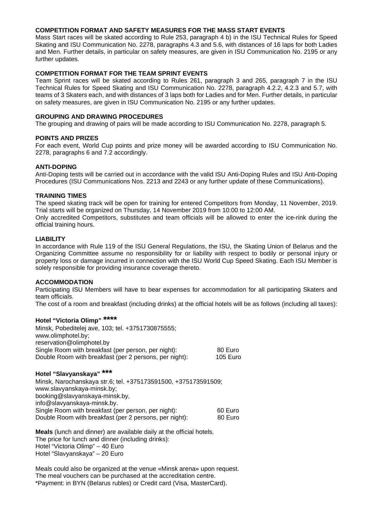#### **COMPETITION FORMAT AND SAFETY MEASURES FOR THE MASS START EVENTS**

Mass Start races will be skated according to Rule 253, paragraph 4 b) in the ISU Technical Rules for Speed Skating and ISU Communication No. 2278, paragraphs 4.3 and 5.6, with distances of 16 laps for both Ladies and Men. Further details, in particular on safety measures, are given in ISU Communication No. 2195 or any further updates.

#### **COMPETITION FORMAT FOR THE TEAM SPRINT EVENTS**

Team Sprint races will be skated according to Rules 261, paragraph 3 and 265, paragraph 7 in the ISU Technical Rules for Speed Skating and ISU Communication No. 2278, paragraph 4.2.2, 4.2.3 and 5.7, with teams of 3 Skaters each, and with distances of 3 laps both for Ladies and for Men. Further details, in particular on safety measures, are given in ISU Communication No. 2195 or any further updates.

#### **GROUPING AND DRAWING PROCEDURES**

The grouping and drawing of pairs will be made according to ISU Communication No. 2278, paragraph 5.

#### **POINTS AND PRIZES**

For each event, World Cup points and prize money will be awarded according to ISU Communication No. 2278, paragraphs 6 and 7.2 accordingly.

#### **ANTI-DOPING**

Anti-Doping tests will be carried out in accordance with the valid ISU Anti-Doping Rules and ISU Anti-Doping Procedures (ISU Communications Nos. 2213 and 2243 or any further update of these Communications).

#### **TRAINING TIMES**

The speed skating track will be open for training for entered Competitors from Monday, 11 November, 2019. Trial starts will be organized on Thursday, 14 November 2019 from 10:00 to 12:00 AM.

Only accredited Competitors, substitutes and team officials will be allowed to enter the ice-rink during the official training hours.

#### **LIABILITY**

In accordance with Rule 119 of the ISU General Regulations, the ISU, the Skating Union of Belarus and the Organizing Committee assume no responsibility for or liability with respect to bodily or personal injury or property loss or damage incurred in connection with the ISU World Cup Speed Skating. Each ISU Member is solely responsible for providing insurance coverage thereto.

#### **ACCOMMODATION**

Participating ISU Members will have to bear expenses for accommodation for all participating Skaters and team officials.

The cost of a room and breakfast (including drinks) at the official hotels will be as follows (including all taxes):

# **Hotel "Victoria Olimp" \*\*\*\***

| Minsk, Pobeditelej ave, 103; tel. +3751730875555;      |          |
|--------------------------------------------------------|----------|
| www.olimphotel.by;                                     |          |
| reservation@olimphotel.by                              |          |
| Single Room with breakfast (per person, per night):    | 80 Euro  |
| Double Room with breakfast (per 2 persons, per night): | 105 Euro |

# **Hotel "Slavyanskaya" \*\*\***

Minsk, Narochanskaya str.6; tel. +375173591500, +375173591509; www.slavyanskaya-minsk.by; booking@slavyanskaya-minsk.by, info@slavyanskaya-minsk.by. Single Room with breakfast (per person, per night): 60 Euro<br>Double Room with breakfast (per 2 persons, per night): 80 Euro Double Room with breakfast (per 2 persons, per night):

**Meals** (lunch and dinner) are available daily at the official hotels. The price for lunch and dinner (including drinks): Hotel "Victoria Olimp" – 40 Euro Hotel "Slavyanskaya" – 20 Euro

Meals could also be organized at the venue «Minsk arena» upon request. The meal vouchers can be purchased at the accreditation centre. \*Payment: in BYN (Belarus rubles) or Credit card (Visa, MasterCard).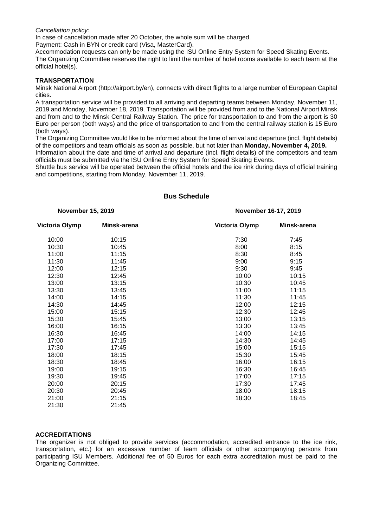*Cancellation policy:*

In case of cancellation made after 20 October, the whole sum will be charged.

Payment: Cash in BYN or credit card (Visa, MasterCard).

Accommodation requests can only be made using the ISU Online Entry System for Speed Skating Events. The Organizing Committee reserves the right to limit the number of hotel rooms available to each team at the official hotel(s).

#### **TRANSPORTATION**

Minsk National Airport (http://airport.by/en), connects with direct flights to a large number of European Capital cities.

A transportation service will be provided to all arriving and departing teams between Monday, November 11, 2019 and Monday, November 18, 2019. Transportation will be provided from and to the National Airport Minsk and from and to the Minsk Central Railway Station. The price for transportation to and from the airport is 30 Euro per person (both ways) and the price of transportation to and from the central railway station is 15 Euro (both ways).

The Organizing Committee would like to be informed about the time of arrival and departure (incl. flight details) of the competitors and team officials as soon as possible, but not later than **Monday, November 4, 2019.**

Information about the date and time of arrival and departure (incl. flight details) of the competitors and team officials must be submitted via the ISU Online Entry System for Speed Skating Events.

Shuttle bus service will be operated between the official hotels and the ice rink during days of official training and competitions, starting from Monday, November 11, 2019.

| <b>November 15, 2019</b> |             | November 16-17, 2019  |             |  |  |
|--------------------------|-------------|-----------------------|-------------|--|--|
| <b>Victoria Olymp</b>    | Minsk-arena | <b>Victoria Olymp</b> | Minsk-arena |  |  |
| 10:00                    | 10:15       | 7:30                  | 7:45        |  |  |
| 10:30                    | 10:45       | 8:00                  | 8:15        |  |  |
| 11:00                    | 11:15       | 8:30                  | 8:45        |  |  |
| 11:30                    | 11:45       | 9:00                  | 9:15        |  |  |
| 12:00                    | 12:15       | 9:30                  | 9:45        |  |  |
| 12:30                    | 12:45       | 10:00                 | 10:15       |  |  |
| 13:00                    | 13:15       | 10:30                 | 10:45       |  |  |
| 13:30                    | 13:45       | 11:00                 | 11:15       |  |  |
| 14:00                    | 14:15       | 11:30                 | 11:45       |  |  |
| 14:30                    | 14:45       | 12:00                 | 12:15       |  |  |
| 15:00                    | 15:15       | 12:30                 | 12:45       |  |  |
| 15:30                    | 15:45       | 13:00                 | 13:15       |  |  |
| 16:00                    | 16:15       | 13:30                 | 13:45       |  |  |
| 16:30                    | 16:45       | 14:00                 | 14:15       |  |  |
| 17:00                    | 17:15       | 14:30                 | 14:45       |  |  |
| 17:30                    | 17:45       | 15:00                 | 15:15       |  |  |
| 18:00                    | 18:15       | 15:30                 | 15:45       |  |  |
| 18:30                    | 18:45       | 16:00                 | 16:15       |  |  |
| 19:00                    | 19:15       | 16:30                 | 16:45       |  |  |
| 19:30                    | 19:45       | 17:00                 | 17:15       |  |  |
| 20:00                    | 20:15       | 17:30                 | 17:45       |  |  |
| 20:30                    | 20:45       | 18:00                 | 18:15       |  |  |
| 21:00                    | 21:15       | 18:30                 | 18:45       |  |  |
| 21:30                    | 21:45       |                       |             |  |  |

## **Bus Schedule**

#### **ACCREDITATIONS**

The organizer is not obliged to provide services (accommodation, accredited entrance to the ice rink, transportation, etc.) for an excessive number of team officials or other accompanying persons from participating ISU Members. Additional fee of 50 Euros for each extra accreditation must be paid to the Organizing Committee.